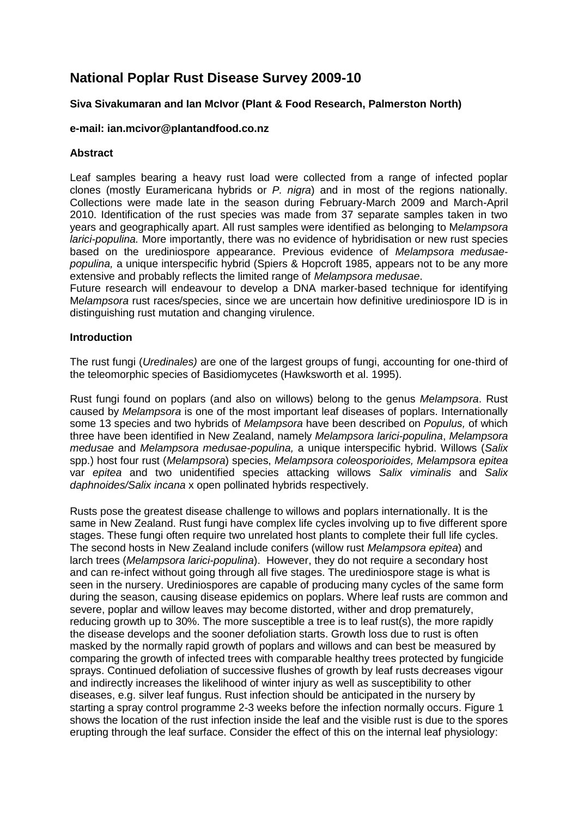# **National Poplar Rust Disease Survey 2009-10**

## **Siva Sivakumaran and Ian McIvor (Plant & Food Research, Palmerston North)**

## **e-mail: ian.mcivor@plantandfood.co.nz**

## **Abstract**

Leaf samples bearing a heavy rust load were collected from a range of infected poplar clones (mostly Euramericana hybrids or *P. nigra*) and in most of the regions nationally. Collections were made late in the season during February-March 2009 and March-April 2010. Identification of the rust species was made from 37 separate samples taken in two years and geographically apart. All rust samples were identified as belonging to M*elampsora larici-populina.* More importantly, there was no evidence of hybridisation or new rust species based on the urediniospore appearance. Previous evidence of *Melampsora medusaepopulina,* a unique interspecific hybrid (Spiers & Hopcroft 1985, appears not to be any more extensive and probably reflects the limited range of *Melampsora medusae*.

Future research will endeavour to develop a DNA marker-based technique for identifying M*elampsora* rust races/species, since we are uncertain how definitive urediniospore ID is in distinguishing rust mutation and changing virulence.

#### **Introduction**

The rust fungi (*Uredinales)* are one of the largest groups of fungi, accounting for one-third of the teleomorphic species of Basidiomycetes (Hawksworth et al. 1995).

Rust fungi found on poplars (and also on willows) belong to the genus *Melampsora*. Rust caused by *Melampsora* is one of the most important leaf diseases of poplars. Internationally some 13 species and two hybrids of *Melampsora* have been described on *Populus,* of which three have been identified in New Zealand, namely *Melampsora larici-populina*, *Melampsora medusae* and *Melampsora medusae-populina,* a unique interspecific hybrid. Willows (*Salix* spp.) host four rust (*Melampsora*) species, *Melampsora coleosporioides, Melampsora epitea* var *epitea* and two unidentified species attacking willows *Salix viminalis* and *Salix daphnoides/Salix incana* x open pollinated hybrids respectively.

Rusts pose the greatest disease challenge to willows and poplars internationally. It is the same in New Zealand. Rust fungi have complex life cycles involving up to five different spore stages. These fungi often require two unrelated host plants to complete their full life cycles. The second hosts in New Zealand include conifers (willow rust *Melampsora epitea*) and larch trees (*Melampsora larici-populina*). However, they do not require a secondary host and can re-infect without going through all five stages. The urediniospore stage is what is seen in the nursery. Urediniospores are capable of producing many cycles of the same form during the season, causing disease epidemics on poplars. Where leaf rusts are common and severe, poplar and willow leaves may become distorted, wither and drop prematurely, reducing growth up to 30%. The more susceptible a tree is to leaf rust(s), the more rapidly the disease develops and the sooner defoliation starts. Growth loss due to rust is often masked by the normally rapid growth of poplars and willows and can best be measured by comparing the growth of infected trees with comparable healthy trees protected by fungicide sprays. Continued defoliation of successive flushes of growth by leaf rusts decreases vigour and indirectly increases the likelihood of winter injury as well as susceptibility to other diseases, e.g. silver leaf fungus. Rust infection should be anticipated in the nursery by starting a spray control programme 2-3 weeks before the infection normally occurs. Figure 1 shows the location of the rust infection inside the leaf and the visible rust is due to the spores erupting through the leaf surface. Consider the effect of this on the internal leaf physiology: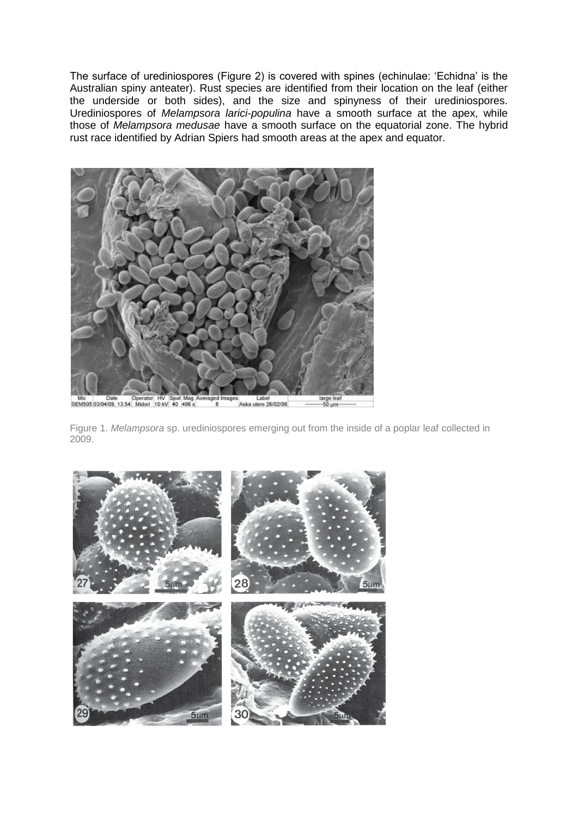The surface of urediniospores (Figure 2) is covered with spines (echinulae: 'Echidna' is the Australian spiny anteater). Rust species are identified from their location on the leaf (either the underside or both sides), and the size and spinyness of their urediniospores. Urediniospores of *Melampsora larici-populina* have a smooth surface at the apex, while those of *Melampsora medusae* have a smooth surface on the equatorial zone. The hybrid rust race identified by Adrian Spiers had smooth areas at the apex and equator.



Figure 1. *Melampsora* sp. urediniospores emerging out from the inside of a poplar leaf collected in 2009.

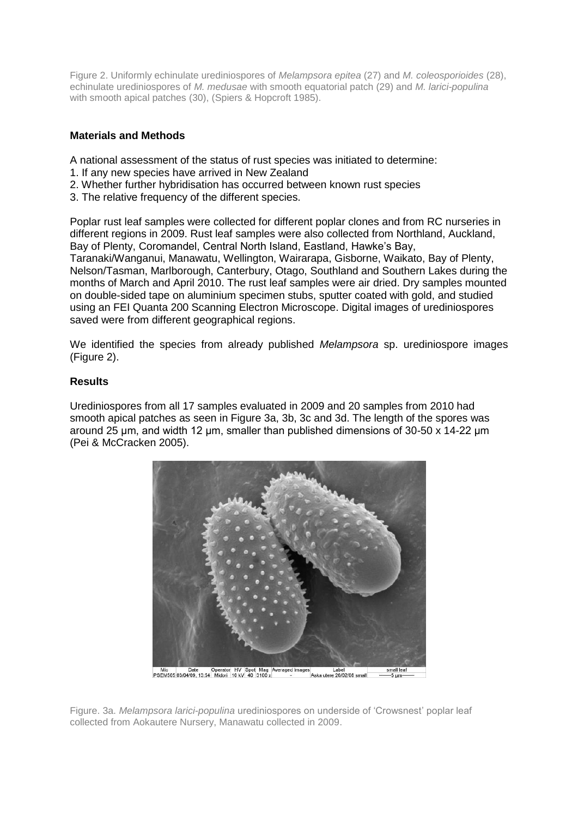Figure 2. Uniformly echinulate urediniospores of *Melampsora epitea* (27) and *M. coleosporioides* (28), echinulate urediniospores of *M. medusae* with smooth equatorial patch (29) and *M. larici-populina* with smooth apical patches (30), (Spiers & Hopcroft 1985).

## **Materials and Methods**

A national assessment of the status of rust species was initiated to determine:

- 1. If any new species have arrived in New Zealand
- 2. Whether further hybridisation has occurred between known rust species
- 3. The relative frequency of the different species.

Poplar rust leaf samples were collected for different poplar clones and from RC nurseries in different regions in 2009. Rust leaf samples were also collected from Northland, Auckland, Bay of Plenty, Coromandel, Central North Island, Eastland, Hawke's Bay, Taranaki/Wanganui, Manawatu, Wellington, Wairarapa, Gisborne, Waikato, Bay of Plenty, Nelson/Tasman, Marlborough, Canterbury, Otago, Southland and Southern Lakes during the months of March and April 2010. The rust leaf samples were air dried. Dry samples mounted on double-sided tape on aluminium specimen stubs, sputter coated with gold, and studied using an FEI Quanta 200 Scanning Electron Microscope. Digital images of urediniospores saved were from different geographical regions.

We identified the species from already published *Melampsora* sp. urediniospore images (Figure 2).

## **Results**

Urediniospores from all 17 samples evaluated in 2009 and 20 samples from 2010 had smooth apical patches as seen in Figure 3a, 3b, 3c and 3d. The length of the spores was around 25 μm, and width 12 μm, smaller than published dimensions of 30-50 x 14-22 μm (Pei & McCracken 2005).



Mic Date Operator HV Spot Mag Averaged Images<br>PSEM505 03/04/09, 13:54 Midori 10 kV 40 3100 x s<br>Aska utere 26/02/08 small

Figure. 3a. *Melampsora larici-populina* urediniospores on underside of 'Crowsnest' poplar leaf collected from Aokautere Nursery, Manawatu collected in 2009.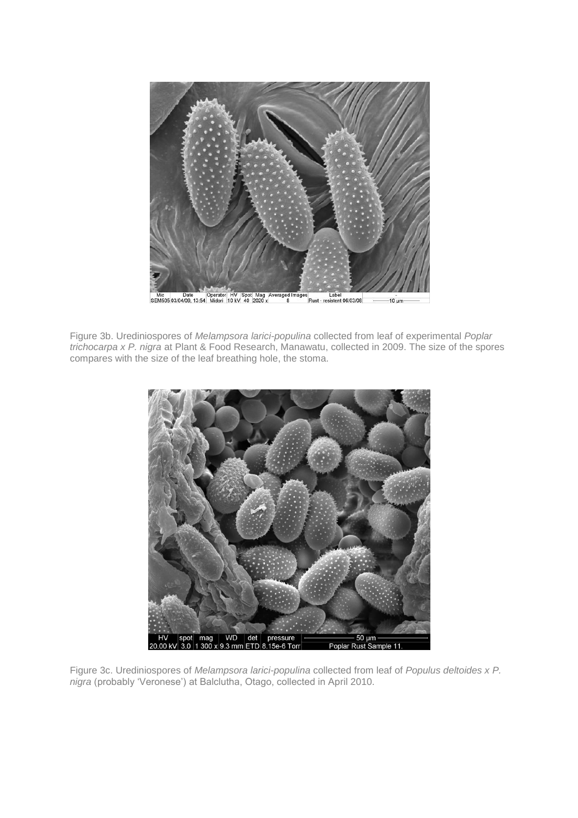

Figure 3b. Urediniospores of *Melampsora larici-populina* collected from leaf of experimental *Poplar trichocarpa x P. nigra* at Plant & Food Research, Manawatu, collected in 2009. The size of the spores compares with the size of the leaf breathing hole, the stoma.



Figure 3c. Urediniospores of *Melampsora larici-populina* collected from leaf of *Populus deltoides x P. nigra* (probably 'Veronese') at Balclutha, Otago, collected in April 2010.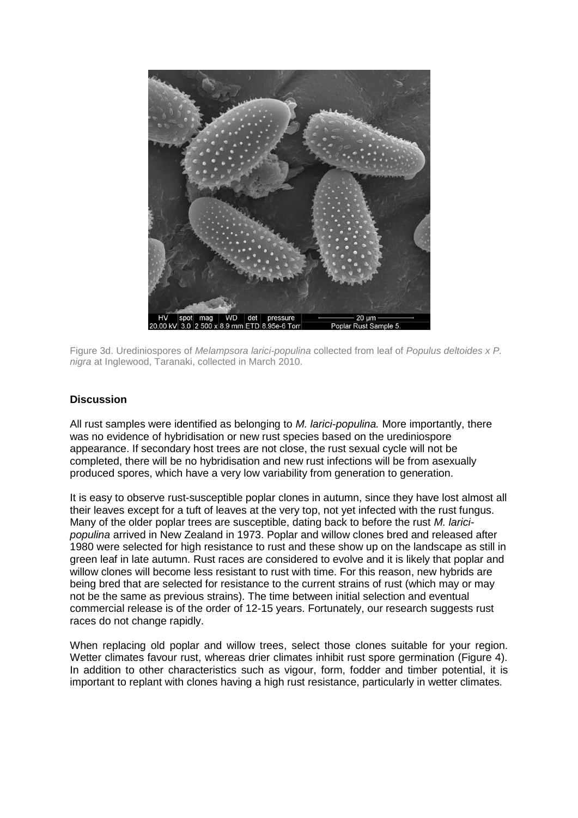

Figure 3d. Urediniospores of *Melampsora larici-populina* collected from leaf of *Populus deltoides x P. nigra* at Inglewood, Taranaki, collected in March 2010.

#### **Discussion**

All rust samples were identified as belonging to *M. larici-populina.* More importantly, there was no evidence of hybridisation or new rust species based on the urediniospore appearance. If secondary host trees are not close, the rust sexual cycle will not be completed, there will be no hybridisation and new rust infections will be from asexually produced spores, which have a very low variability from generation to generation.

It is easy to observe rust-susceptible poplar clones in autumn, since they have lost almost all their leaves except for a tuft of leaves at the very top, not yet infected with the rust fungus. Many of the older poplar trees are susceptible, dating back to before the rust *M. laricipopulina* arrived in New Zealand in 1973. Poplar and willow clones bred and released after 1980 were selected for high resistance to rust and these show up on the landscape as still in green leaf in late autumn. Rust races are considered to evolve and it is likely that poplar and willow clones will become less resistant to rust with time. For this reason, new hybrids are being bred that are selected for resistance to the current strains of rust (which may or may not be the same as previous strains). The time between initial selection and eventual commercial release is of the order of 12-15 years. Fortunately, our research suggests rust races do not change rapidly.

When replacing old poplar and willow trees, select those clones suitable for your region. Wetter climates favour rust, whereas drier climates inhibit rust spore germination (Figure 4). In addition to other characteristics such as vigour, form, fodder and timber potential, it is important to replant with clones having a high rust resistance, particularly in wetter climates.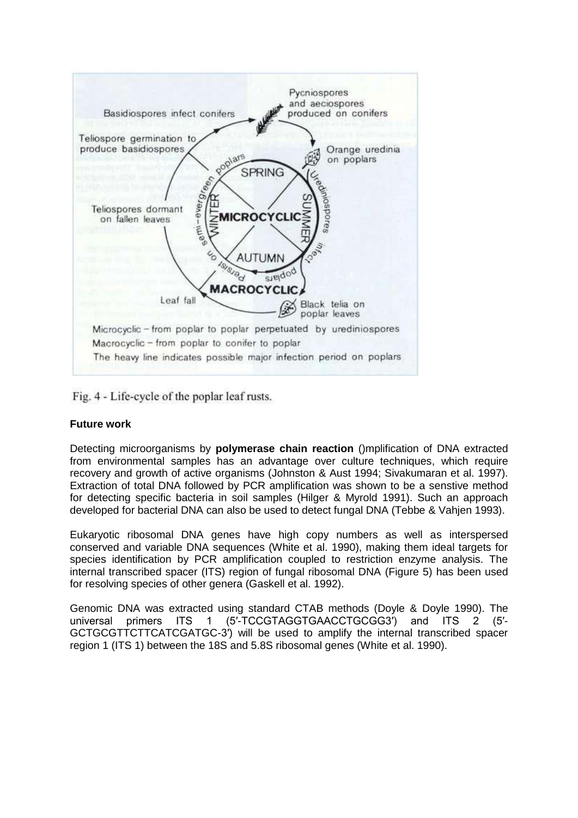

Fig. 4 - Life-cycle of the poplar leaf rusts.

## **Future work**

Detecting microorganisms by **polymerase chain reaction** ()mplification of DNA extracted from environmental samples has an advantage over culture techniques, which require recovery and growth of active organisms (Johnston & Aust 1994; Sivakumaran et al. 1997). Extraction of total DNA followed by PCR amplification was shown to be a senstive method for detecting specific bacteria in soil samples (Hilger & Myrold 1991). Such an approach developed for bacterial DNA can also be used to detect fungal DNA (Tebbe & Vahjen 1993).

Eukaryotic ribosomal DNA genes have high copy numbers as well as interspersed conserved and variable DNA sequences (White et al. 1990), making them ideal targets for species identification by PCR amplification coupled to restriction enzyme analysis. The internal transcribed spacer (ITS) region of fungal ribosomal DNA (Figure 5) has been used for resolving species of other genera (Gaskell et al. 1992).

Genomic DNA was extracted using standard CTAB methods (Doyle & Doyle 1990). The universal primers ITS 1 (5'-TCCGTAGGTGAACCTGCGG3') and ITS 2 (5'universal primers ITS 1 (5'-TCCGTAGGTGAACCTGCGG3') and ITS 2 GCTGCGTTCTTCATCGATGC-3′) will be used to amplify the internal transcribed spacer region 1 (ITS 1) between the 18S and 5.8S ribosomal genes (White et al. 1990).